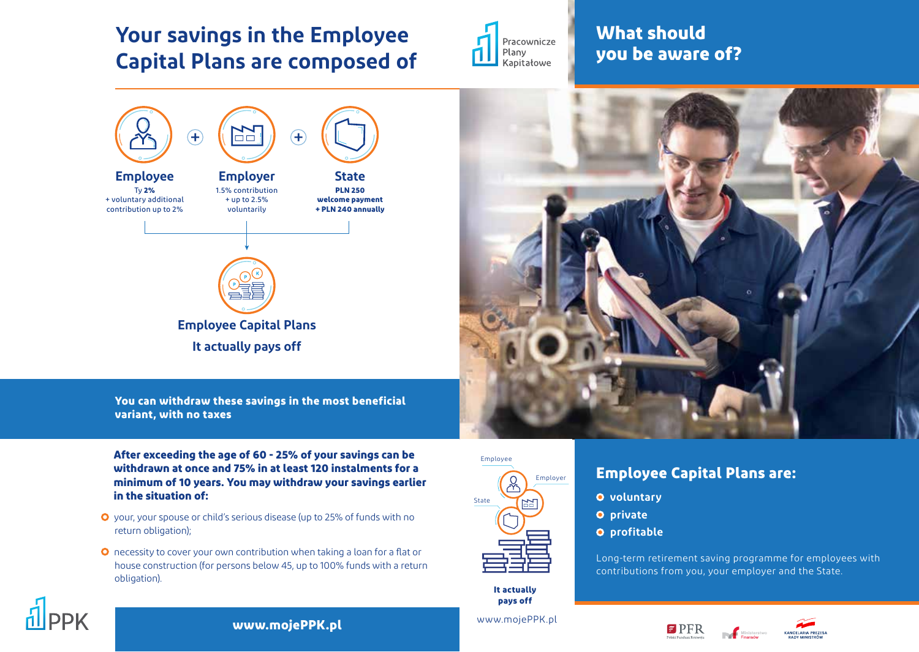# **Your savings in the Employee Capital Plans are composed of**



## **What should you be aware of?**





**You can withdraw these savings in the most beneficial variant, with no taxes**

**After exceeding the age of 60 - 25% of your savings can be withdrawn at once and 75% in at least 120 instalments for a minimum of 10 years. You may withdraw your savings earlier in the situation of:**

- your, your spouse or child's serious disease (up to 25% of funds with no return obligation);
- **O** necessity to cover your own contribution when taking a loan for a flat or house construction (for persons below 45, up to 100% funds with a return obligation).



#### **Employee Capital Plans are:**

- **voluntary**
- **private**
- **profitable**

Long-term retirement saving programme for employees with contributions from you, your employer and the State.

**It actually pays off**

www.mojePPK.pl







**www.mojePPK.pl**